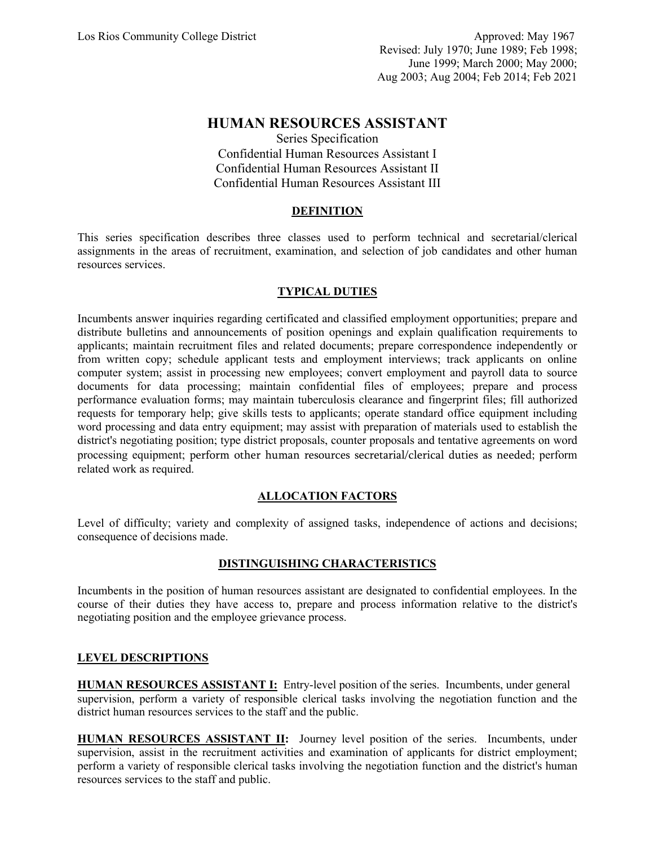# **HUMAN RESOURCES ASSISTANT**

Series Specification Confidential Human Resources Assistant I Confidential Human Resources Assistant II Confidential Human Resources Assistant III

## **DEFINITION**

This series specification describes three classes used to perform technical and secretarial/clerical assignments in the areas of recruitment, examination, and selection of job candidates and other human resources services.

# **TYPICAL DUTIES**

Incumbents answer inquiries regarding certificated and classified employment opportunities; prepare and distribute bulletins and announcements of position openings and explain qualification requirements to applicants; maintain recruitment files and related documents; prepare correspondence independently or from written copy; schedule applicant tests and employment interviews; track applicants on online computer system; assist in processing new employees; convert employment and payroll data to source documents for data processing; maintain confidential files of employees; prepare and process performance evaluation forms; may maintain tuberculosis clearance and fingerprint files; fill authorized requests for temporary help; give skills tests to applicants; operate standard office equipment including word processing and data entry equipment; may assist with preparation of materials used to establish the district's negotiating position; type district proposals, counter proposals and tentative agreements on word processing equipment; perform other human resources secretarial/clerical duties as needed; perform related work as required.

#### **ALLOCATION FACTORS**

Level of difficulty; variety and complexity of assigned tasks, independence of actions and decisions; consequence of decisions made.

#### **DISTINGUISHING CHARACTERISTICS**

Incumbents in the position of human resources assistant are designated to confidential employees. In the course of their duties they have access to, prepare and process information relative to the district's negotiating position and the employee grievance process.

#### **LEVEL DESCRIPTIONS**

**HUMAN RESOURCES ASSISTANT I:** Entry-level position of the series. Incumbents, under general supervision, perform a variety of responsible clerical tasks involving the negotiation function and the district human resources services to the staff and the public.

**HUMAN RESOURCES ASSISTANT II:** Journey level position of the series. Incumbents, under supervision, assist in the recruitment activities and examination of applicants for district employment; perform a variety of responsible clerical tasks involving the negotiation function and the district's human resources services to the staff and public.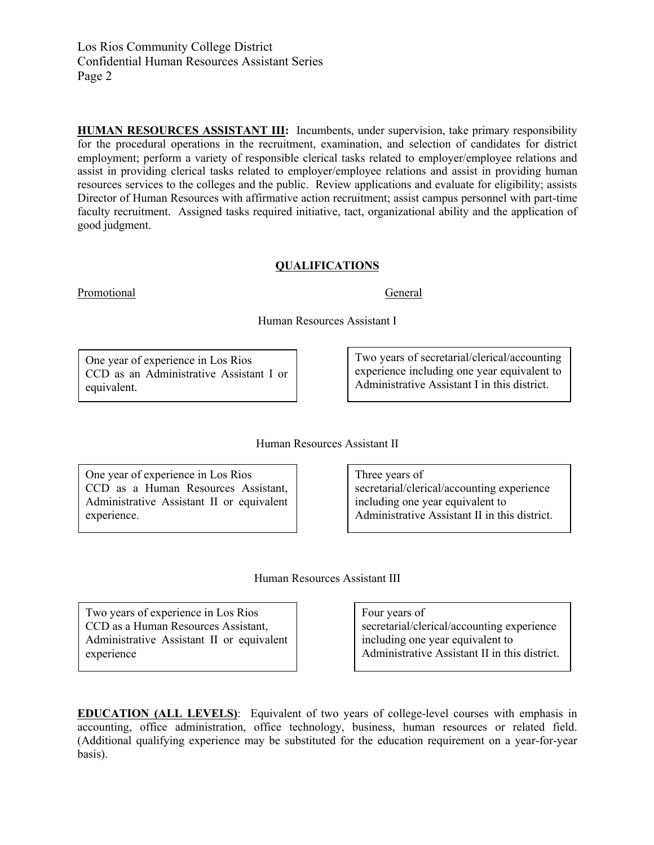Los Rios Community College District Confidential Human Resources Assistant Series Page 2

**HUMAN RESOURCES ASSISTANT III:** Incumbents, under supervision, take primary responsibility for the procedural operations in the recruitment, examination, and selection of candidates for district employment; perform a variety of responsible clerical tasks related to employer/employee relations and assist in providing clerical tasks related to employer/employee relations and assist in providing human resources services to the colleges and the public. Review applications and evaluate for eligibility; assists Director of Human Resources with affirmative action recruitment; assist campus personnel with part-time faculty recruitment. Assigned tasks required initiative, tact, organizational ability and the application of good judgment.

#### **QUALIFICATIONS**

Promotional General General

Human Resources Assistant I

One year of experience in Los Rios CCD as an Administrative Assistant I or equivalent.

Two years of secretarial/clerical/accounting experience including one year equivalent to Administrative Assistant I in this district.

Human Resources Assistant II

One year of experience in Los Rios CCD as a Human Resources Assistant, Administrative Assistant II or equivalent experience.

Three years of secretarial/clerical/accounting experience including one year equivalent to Administrative Assistant II in this district.

Human Resources Assistant III

Two years of experience in Los Rios CCD as a Human Resources Assistant, Administrative Assistant II or equivalent experience

Four years of secretarial/clerical/accounting experience including one year equivalent to Administrative Assistant II in this district.

**EDUCATION (ALL LEVELS)**: Equivalent of two years of college-level courses with emphasis in accounting, office administration, office technology, business, human resources or related field. (Additional qualifying experience may be substituted for the education requirement on a year-for-year basis).